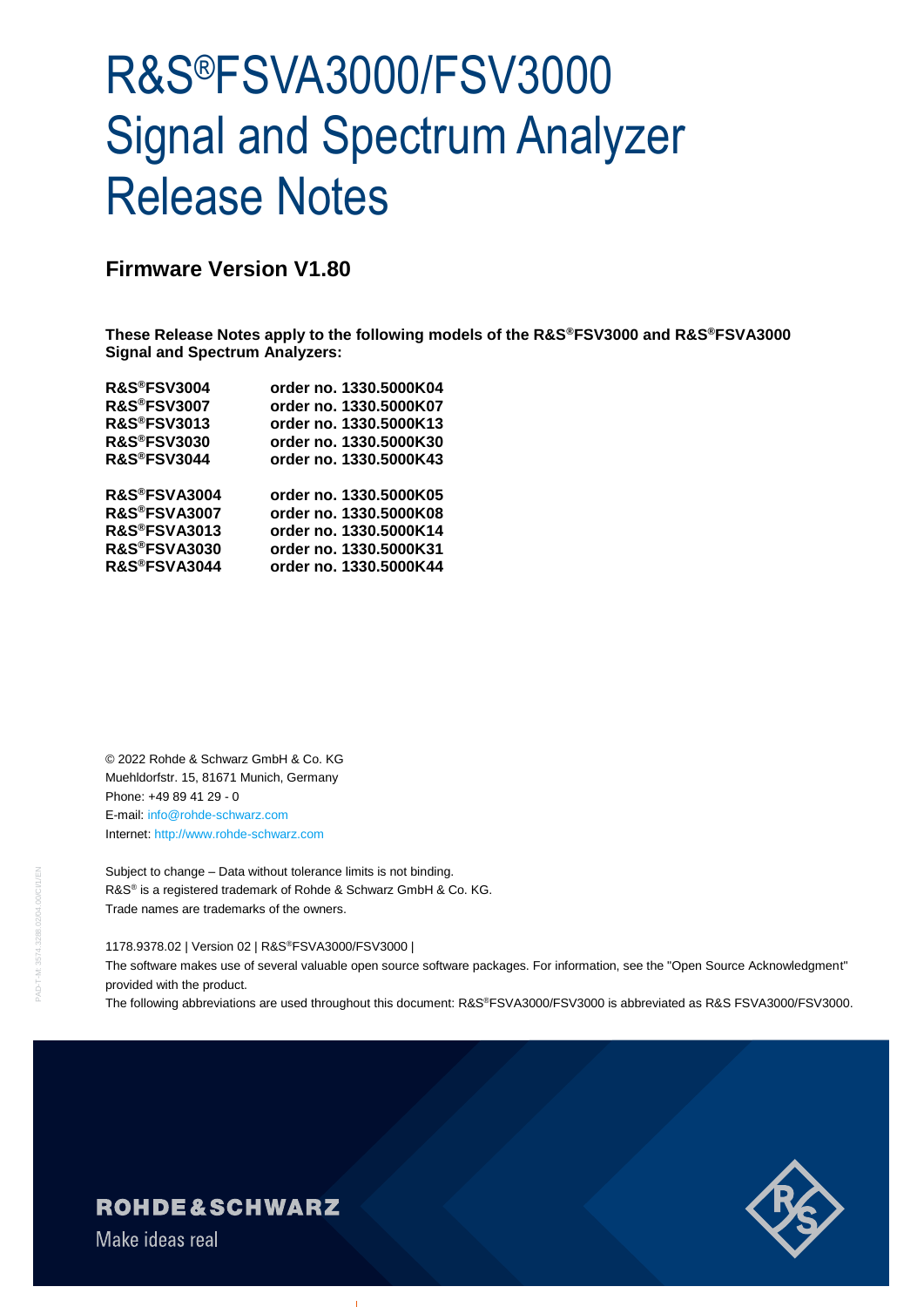# R&S®FSVA3000/FSV3000 Signal and Spectrum Analyzer Release Notes

## **Firmware Version V1.80**

**These Release Notes apply to the following models of the R&S®FSV3000 and R&S®FSVA3000 Signal and Spectrum Analyzers:**

| R&S®FSV3004             | order no. 1330.5000K04 |
|-------------------------|------------------------|
| <b>R&amp;S®FSV3007</b>  | order no. 1330.5000K07 |
| <b>R&amp;S®FSV3013</b>  | order no. 1330.5000K13 |
| <b>R&amp;S®FSV3030</b>  | order no. 1330.5000K30 |
| <b>R&amp;S®FSV3044</b>  | order no. 1330.5000K43 |
| R&S®FSVA3004            | order no. 1330.5000K05 |
| R&S®FSVA3007            | order no. 1330.5000K08 |
| <b>R&amp;S®FSVA3013</b> | order no. 1330.5000K14 |
| <b>R&amp;S®FSVA3030</b> | order no. 1330.5000K31 |
| R&S®FSVA3044            | order no. 1330.5000K44 |
|                         |                        |

© 2022 Rohde & Schwarz GmbH & Co. KG Muehldorfstr. 15, 81671 Munich, Germany Phone: +49 89 41 29 - 0 E-mail: [info@rohde-schwarz.com](mailto:info@rohde-schwarz.com) Internet[: http://www.rohde-schwarz.com](http://www.rohde-schwarz.com/)

Subject to change – Data without tolerance limits is not binding. R&S<sup>®</sup> is a registered trademark of Rohde & Schwarz GmbH & Co. KG. Trade names are trademarks of the owners.

#### 1178.9378.02 | Version 02 | R&S®FSVA3000/FSV3000 |

The software makes use of several valuable open source software packages. For information, see the "Open Source Acknowledgment" provided with the product.

The following abbreviations are used throughout this document: R&S®FSVA3000/FSV3000 is abbreviated as R&S FSVA3000/FSV3000.



## **ROHDE&SCHWARZ**

Make ideas real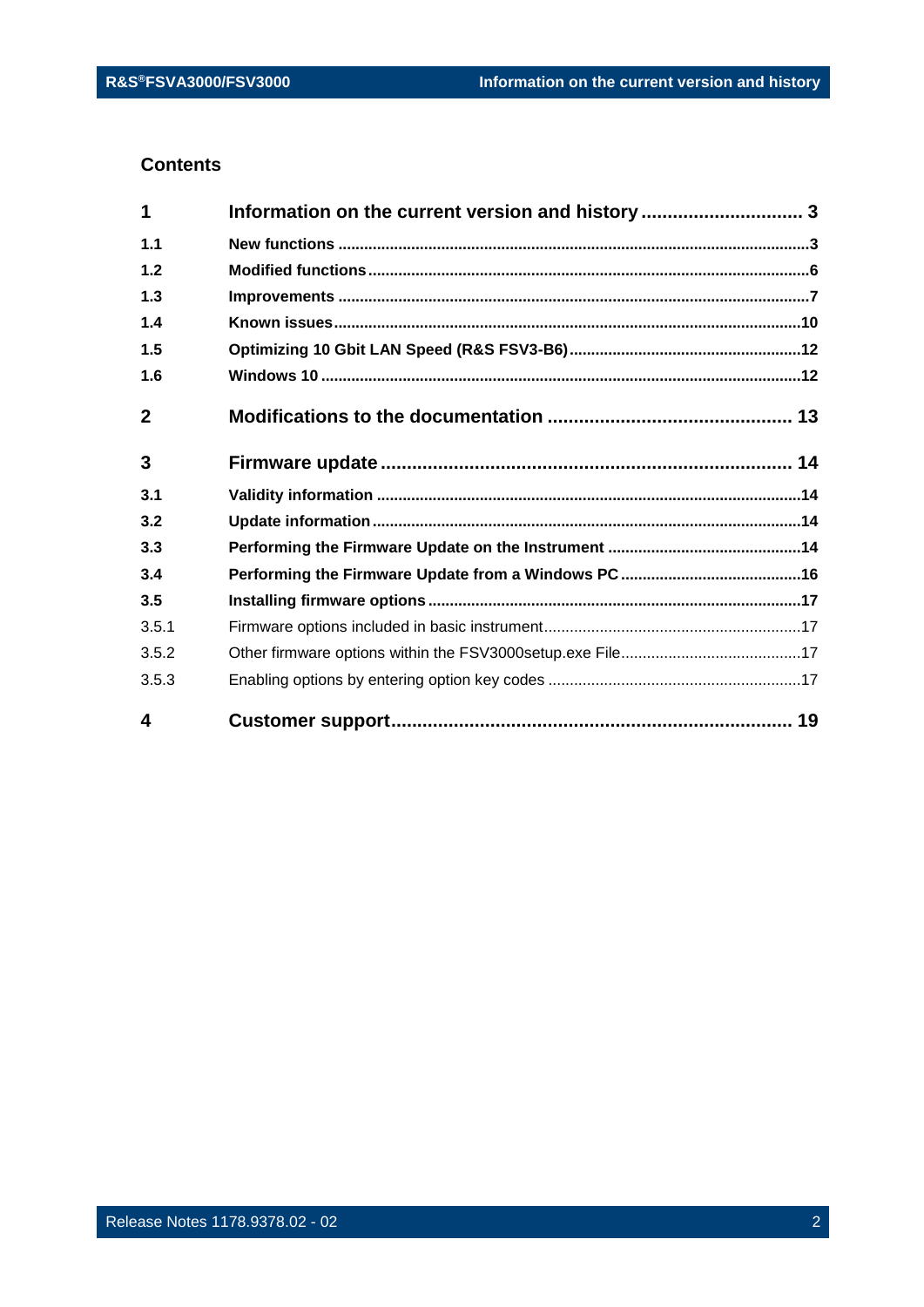#### **Contents**

| 1            | Information on the current version and history  3 |  |
|--------------|---------------------------------------------------|--|
| 1.1          |                                                   |  |
| 1.2          |                                                   |  |
| 1.3          |                                                   |  |
| 1.4          |                                                   |  |
| 1.5          |                                                   |  |
| 1.6          |                                                   |  |
| $\mathbf{2}$ |                                                   |  |
| 3            |                                                   |  |
| 3.1          |                                                   |  |
| 3.2          |                                                   |  |
| 3.3          |                                                   |  |
| 3.4          |                                                   |  |
| 3.5          |                                                   |  |
| 3.5.1        |                                                   |  |
| 3.5.2        |                                                   |  |
| 3.5.3        |                                                   |  |
| 4            |                                                   |  |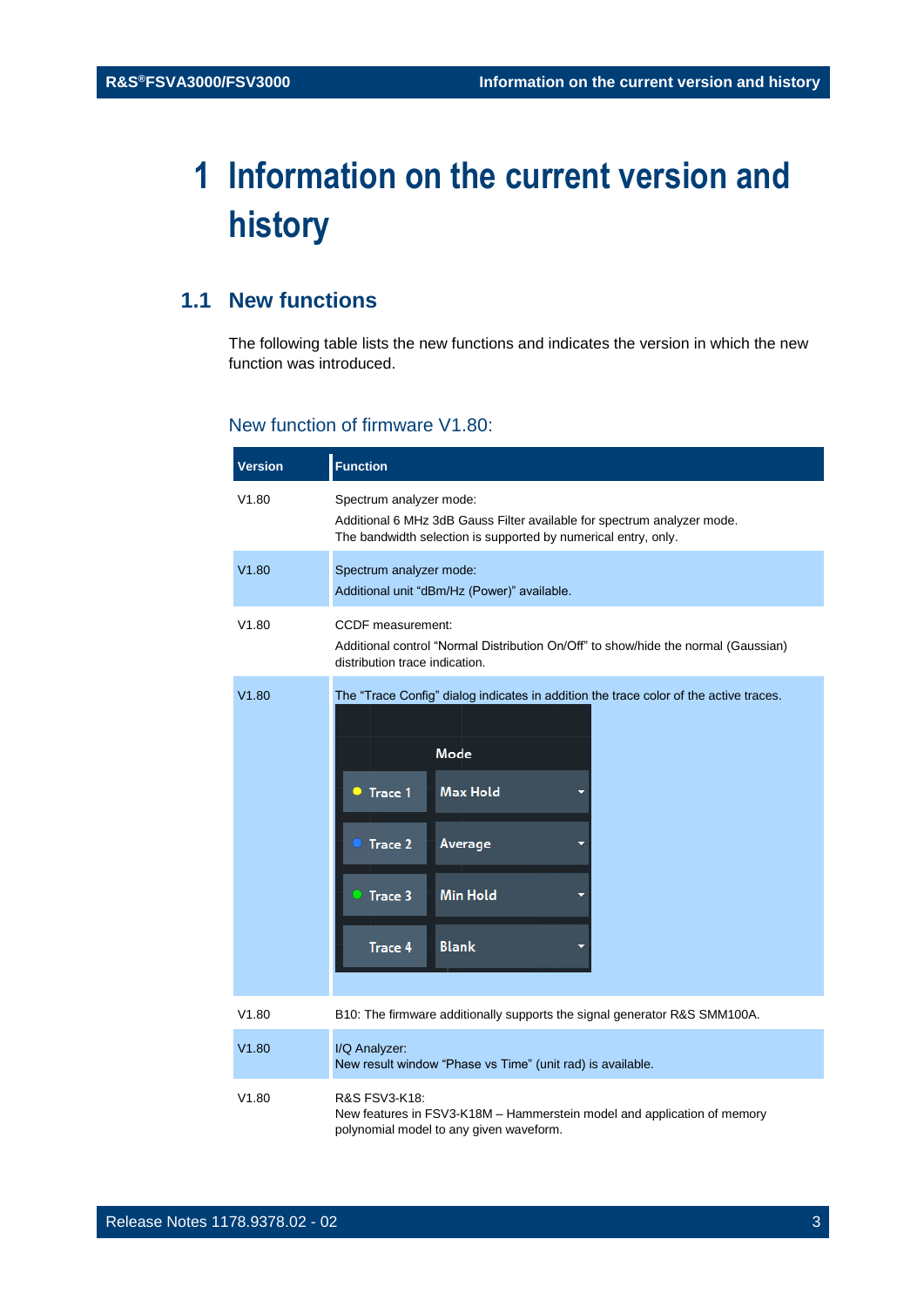## <span id="page-2-0"></span>**1 Information on the current version and history**

## <span id="page-2-1"></span>**1.1 New functions**

The following table lists the new functions and indicates the version in which the new function was introduced.

#### New function of firmware V1.80:

| <b>Version</b> | <b>Function</b>                                                                                                                                                                                                          |
|----------------|--------------------------------------------------------------------------------------------------------------------------------------------------------------------------------------------------------------------------|
| V1.80          | Spectrum analyzer mode:<br>Additional 6 MHz 3dB Gauss Filter available for spectrum analyzer mode.<br>The bandwidth selection is supported by numerical entry, only.                                                     |
| V1.80          | Spectrum analyzer mode:<br>Additional unit "dBm/Hz (Power)" available.                                                                                                                                                   |
| V1.80          | <b>CCDF</b> measurement:<br>Additional control "Normal Distribution On/Off" to show/hide the normal (Gaussian)<br>distribution trace indication.                                                                         |
| V1.80          | The "Trace Config" dialog indicates in addition the trace color of the active traces.<br>Mode<br><b>Max Hold</b><br>Trace 1<br>o<br>Trace 2<br>Average<br>• Trace 3<br><b>Min Hold</b><br><b>Blank</b><br><b>Trace 4</b> |
| V1.80          | B10: The firmware additionally supports the signal generator R&S SMM100A.                                                                                                                                                |
| V1.80          | I/Q Analyzer:<br>New result window "Phase vs Time" (unit rad) is available.                                                                                                                                              |
| V1.80          | R&S FSV3-K18:<br>New features in FSV3-K18M - Hammerstein model and application of memory<br>polynomial model to any given waveform.                                                                                      |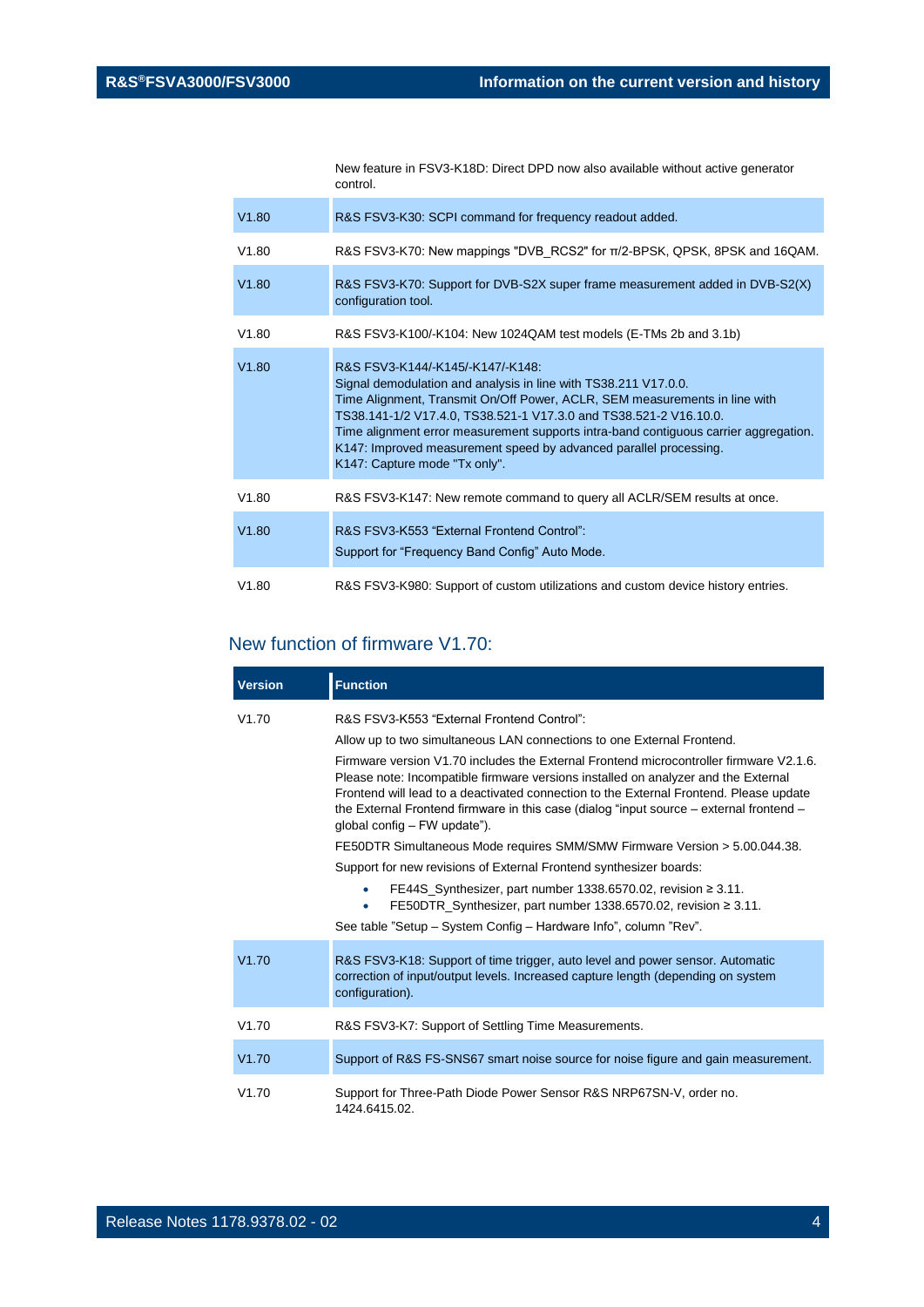New feature in FSV3-K18D: Direct DPD now also available without active generator control.

| V1.80 | R&S FSV3-K30: SCPI command for frequency readout added.                                                                                                                                                                                                                                                                                                                                                                                              |
|-------|------------------------------------------------------------------------------------------------------------------------------------------------------------------------------------------------------------------------------------------------------------------------------------------------------------------------------------------------------------------------------------------------------------------------------------------------------|
| V1.80 | R&S FSV3-K70: New mappings "DVB RCS2" for $\pi/2$ -BPSK, QPSK, 8PSK and 16QAM.                                                                                                                                                                                                                                                                                                                                                                       |
| V1.80 | R&S FSV3-K70: Support for DVB-S2X super frame measurement added in DVB-S2(X)<br>configuration tool.                                                                                                                                                                                                                                                                                                                                                  |
| V1.80 | R&S FSV3-K100/-K104: New 1024QAM test models (E-TMs 2b and 3.1b)                                                                                                                                                                                                                                                                                                                                                                                     |
| V1.80 | R&S FSV3-K144/-K145/-K147/-K148:<br>Signal demodulation and analysis in line with TS38.211 V17.0.0.<br>Time Alignment, Transmit On/Off Power, ACLR, SEM measurements in line with<br>TS38.141-1/2 V17.4.0, TS38.521-1 V17.3.0 and TS38.521-2 V16.10.0.<br>Time alignment error measurement supports intra-band contiguous carrier aggregation.<br>K147: Improved measurement speed by advanced parallel processing.<br>K147: Capture mode "Tx only". |
| V1.80 | R&S FSV3-K147: New remote command to query all ACLR/SEM results at once.                                                                                                                                                                                                                                                                                                                                                                             |
| V1.80 | R&S FSV3-K553 "External Frontend Control":<br>Support for "Frequency Band Config" Auto Mode.                                                                                                                                                                                                                                                                                                                                                         |
| V1.80 | R&S FSV3-K980: Support of custom utilizations and custom device history entries.                                                                                                                                                                                                                                                                                                                                                                     |

#### New function of firmware V1.70:

| <b>Version</b> | <b>Function</b>                                                                                                                                                                                                                                                                                                                                                                                                                                                                                                                                                                                                                                                                                                                                                                                                                                                                                |
|----------------|------------------------------------------------------------------------------------------------------------------------------------------------------------------------------------------------------------------------------------------------------------------------------------------------------------------------------------------------------------------------------------------------------------------------------------------------------------------------------------------------------------------------------------------------------------------------------------------------------------------------------------------------------------------------------------------------------------------------------------------------------------------------------------------------------------------------------------------------------------------------------------------------|
| V1.70          | R&S FSV3-K553 "External Frontend Control":<br>Allow up to two simultaneous LAN connections to one External Frontend.<br>Firmware version V1.70 includes the External Frontend microcontroller firmware V2.1.6.<br>Please note: Incompatible firmware versions installed on analyzer and the External<br>Frontend will lead to a deactivated connection to the External Frontend. Please update<br>the External Frontend firmware in this case (dialog "input source $-$ external frontend $-$<br>global config – FW update").<br>FE50DTR Simultaneous Mode requires SMM/SMW Firmware Version > 5.00.044.38.<br>Support for new revisions of External Frontend synthesizer boards:<br>FE44S_Synthesizer, part number 1338.6570.02, revision ≥ 3.11.<br>٠<br>FE50DTR_Synthesizer, part number 1338.6570.02, revision ≥ 3.11.<br>See table "Setup - System Config - Hardware Info", column "Rev". |
| V1.70          | R&S FSV3-K18: Support of time trigger, auto level and power sensor. Automatic<br>correction of input/output levels. Increased capture length (depending on system<br>configuration).                                                                                                                                                                                                                                                                                                                                                                                                                                                                                                                                                                                                                                                                                                           |
| V1.70          | R&S FSV3-K7: Support of Settling Time Measurements.                                                                                                                                                                                                                                                                                                                                                                                                                                                                                                                                                                                                                                                                                                                                                                                                                                            |
| V1.70          | Support of R&S FS-SNS67 smart noise source for noise figure and gain measurement.                                                                                                                                                                                                                                                                                                                                                                                                                                                                                                                                                                                                                                                                                                                                                                                                              |
| V1.70          | Support for Three-Path Diode Power Sensor R&S NRP67SN-V, order no.<br>1424.6415.02.                                                                                                                                                                                                                                                                                                                                                                                                                                                                                                                                                                                                                                                                                                                                                                                                            |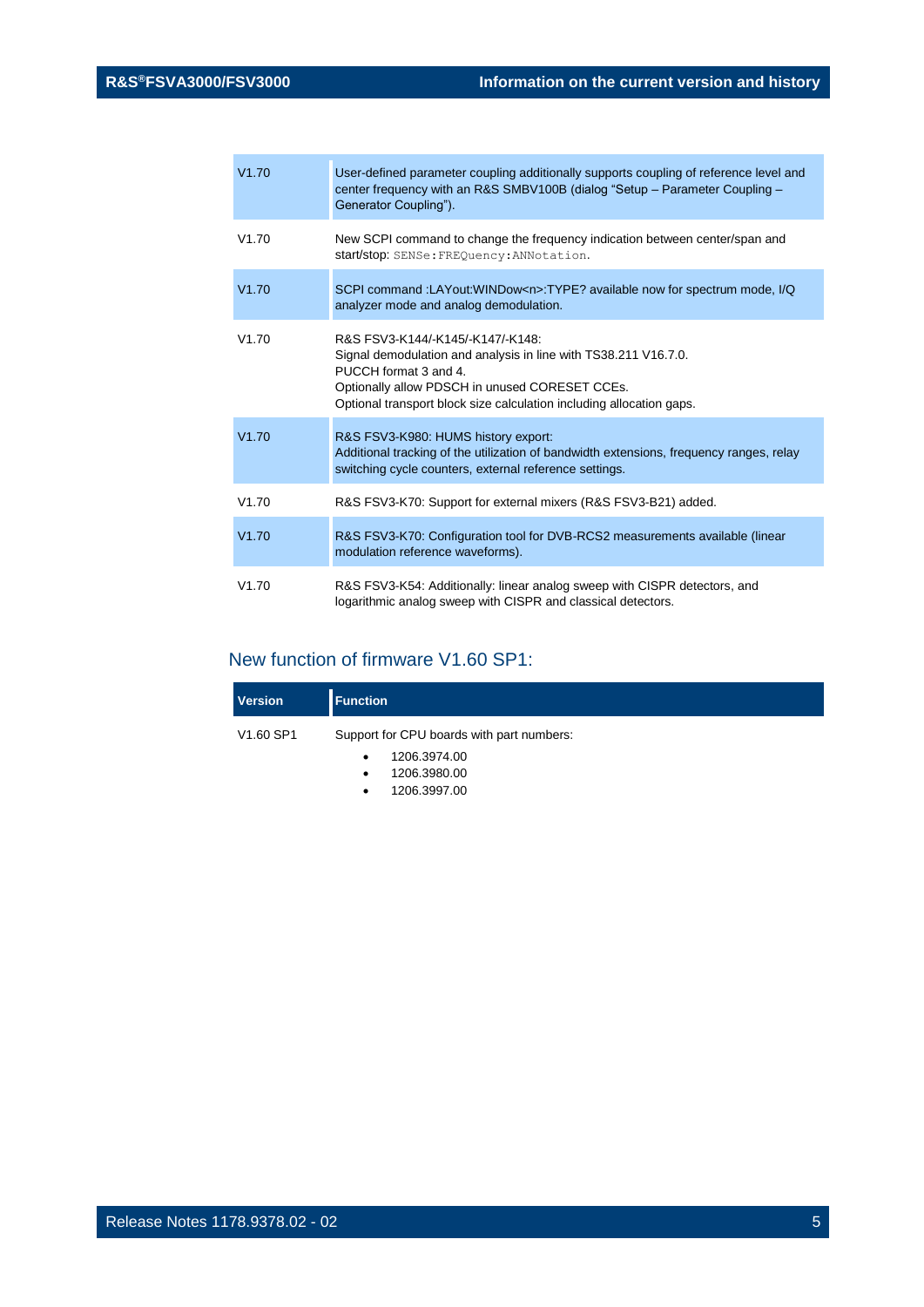| V1.70 | User-defined parameter coupling additionally supports coupling of reference level and<br>center frequency with an R&S SMBV100B (dialog "Setup - Parameter Coupling -<br>Generator Coupling").                                                          |
|-------|--------------------------------------------------------------------------------------------------------------------------------------------------------------------------------------------------------------------------------------------------------|
| V1.70 | New SCPI command to change the frequency indication between center/span and<br>start/stop: SENSe: FREQuency: ANNotation.                                                                                                                               |
| V1.70 | SCPI command :LAYout:WINDow <n>:TYPE? available now for spectrum mode, I/Q<br/>analyzer mode and analog demodulation.</n>                                                                                                                              |
| V1.70 | R&S FSV3-K144/-K145/-K147/-K148:<br>Signal demodulation and analysis in line with TS38.211 V16.7.0.<br>PUCCH format 3 and 4.<br>Optionally allow PDSCH in unused CORESET CCEs.<br>Optional transport block size calculation including allocation gaps. |
| V1.70 | R&S FSV3-K980: HUMS history export:<br>Additional tracking of the utilization of bandwidth extensions, frequency ranges, relay<br>switching cycle counters, external reference settings.                                                               |
| V1.70 | R&S FSV3-K70: Support for external mixers (R&S FSV3-B21) added.                                                                                                                                                                                        |
| V1.70 | R&S FSV3-K70: Configuration tool for DVB-RCS2 measurements available (linear<br>modulation reference waveforms).                                                                                                                                       |
| V1.70 | R&S FSV3-K54: Additionally: linear analog sweep with CISPR detectors, and<br>logarithmic analog sweep with CISPR and classical detectors.                                                                                                              |

## New function of firmware V1.60 SP1:

| <b>Version</b> | <b>Function</b>                           |
|----------------|-------------------------------------------|
| V1.60 SP1      | Support for CPU boards with part numbers: |
|                | 1206.3974.00<br>$\bullet$                 |
|                | 1206.3980.00<br>$\bullet$                 |
|                | 1206.3997.00<br>٠                         |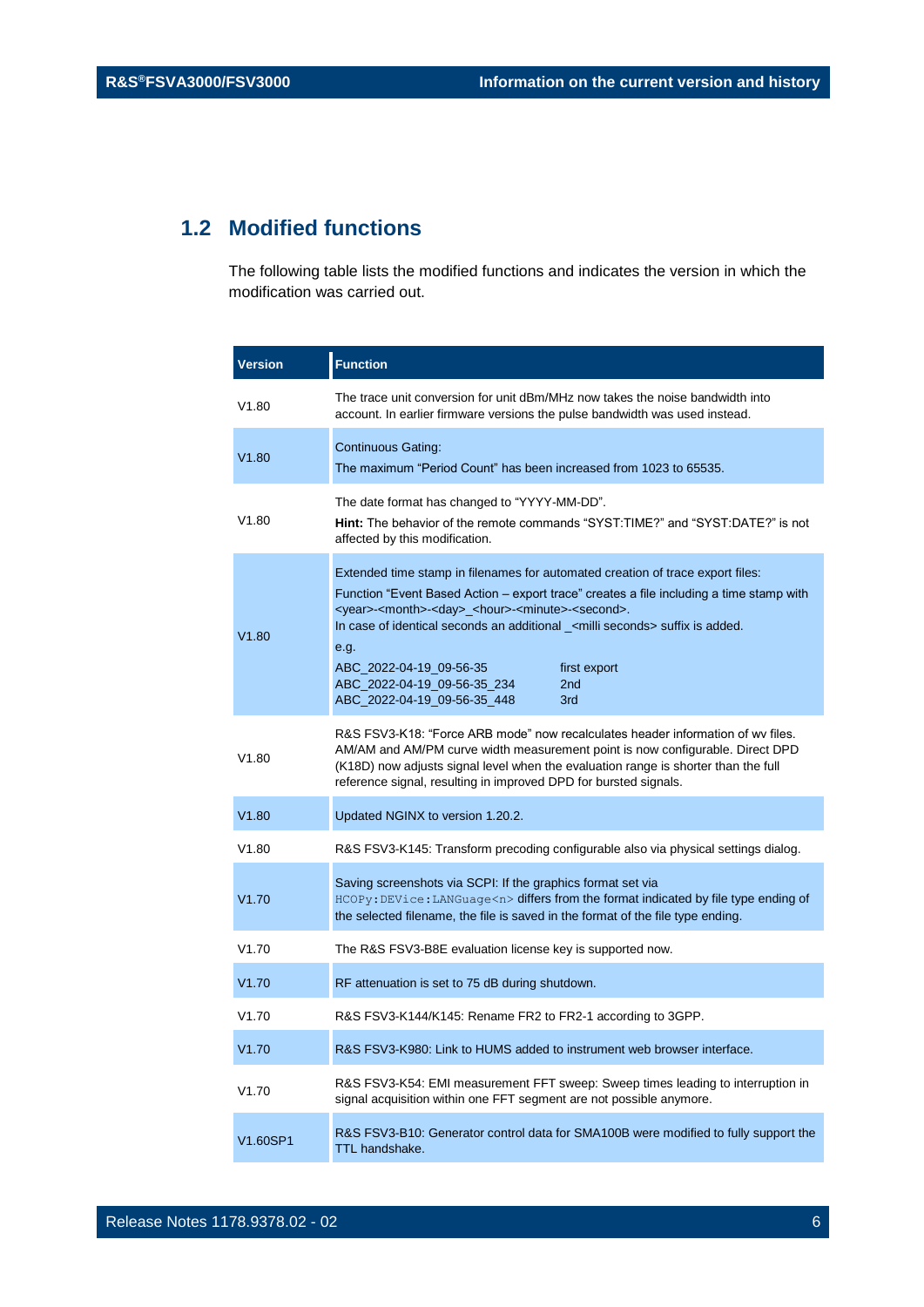## <span id="page-5-0"></span>**1.2 Modified functions**

The following table lists the modified functions and indicates the version in which the modification was carried out.

| <b>Version</b> | <b>Function</b>                                                                                                                                                                                                                                                                                                                                                                                                                                                                                             |
|----------------|-------------------------------------------------------------------------------------------------------------------------------------------------------------------------------------------------------------------------------------------------------------------------------------------------------------------------------------------------------------------------------------------------------------------------------------------------------------------------------------------------------------|
| V1.80          | The trace unit conversion for unit dBm/MHz now takes the noise bandwidth into<br>account. In earlier firmware versions the pulse bandwidth was used instead.                                                                                                                                                                                                                                                                                                                                                |
| V1.80          | <b>Continuous Gating:</b><br>The maximum "Period Count" has been increased from 1023 to 65535.                                                                                                                                                                                                                                                                                                                                                                                                              |
| V1.80          | The date format has changed to "YYYY-MM-DD".<br><b>Hint:</b> The behavior of the remote commands "SYST:TIME?" and "SYST:DATE?" is not<br>affected by this modification.                                                                                                                                                                                                                                                                                                                                     |
| V1.80          | Extended time stamp in filenames for automated creation of trace export files:<br>Function "Event Based Action – export trace" creates a file including a time stamp with<br><year>-<month>-<day>_<hour>-<minute>-<second>.<br/>In case of identical seconds an additional _<milli seconds=""> suffix is added.<br/>e.g.<br/>ABC_2022-04-19_09-56-35<br/>first export<br/>ABC_2022-04-19_09-56-35_234<br/>2nd<br/>ABC_2022-04-19_09-56-35_448<br/>3rd</milli></second></minute></hour></day></month></year> |
| V1.80          | R&S FSV3-K18: "Force ARB mode" now recalculates header information of wv files.<br>AM/AM and AM/PM curve width measurement point is now configurable. Direct DPD<br>(K18D) now adjusts signal level when the evaluation range is shorter than the full<br>reference signal, resulting in improved DPD for bursted signals.                                                                                                                                                                                  |
| V1.80          | Updated NGINX to version 1.20.2.                                                                                                                                                                                                                                                                                                                                                                                                                                                                            |
| V1.80          | R&S FSV3-K145: Transform precoding configurable also via physical settings dialog.                                                                                                                                                                                                                                                                                                                                                                                                                          |
| V1.70          | Saving screenshots via SCPI: If the graphics format set via<br>HCOPy: DEVice: LANGuage <n> differs from the format indicated by file type ending of<br/>the selected filename, the file is saved in the format of the file type ending.</n>                                                                                                                                                                                                                                                                 |
| V1.70          | The R&S FSV3-B8E evaluation license key is supported now.                                                                                                                                                                                                                                                                                                                                                                                                                                                   |
| V1.70          | RF attenuation is set to 75 dB during shutdown.                                                                                                                                                                                                                                                                                                                                                                                                                                                             |
| V1.70          | R&S FSV3-K144/K145: Rename FR2 to FR2-1 according to 3GPP.                                                                                                                                                                                                                                                                                                                                                                                                                                                  |
| V1.70          | R&S FSV3-K980: Link to HUMS added to instrument web browser interface.                                                                                                                                                                                                                                                                                                                                                                                                                                      |
| V1.70          | R&S FSV3-K54: EMI measurement FFT sweep: Sweep times leading to interruption in<br>signal acquisition within one FFT segment are not possible anymore.                                                                                                                                                                                                                                                                                                                                                      |
| V1.60SP1       | R&S FSV3-B10: Generator control data for SMA100B were modified to fully support the<br>TTL handshake.                                                                                                                                                                                                                                                                                                                                                                                                       |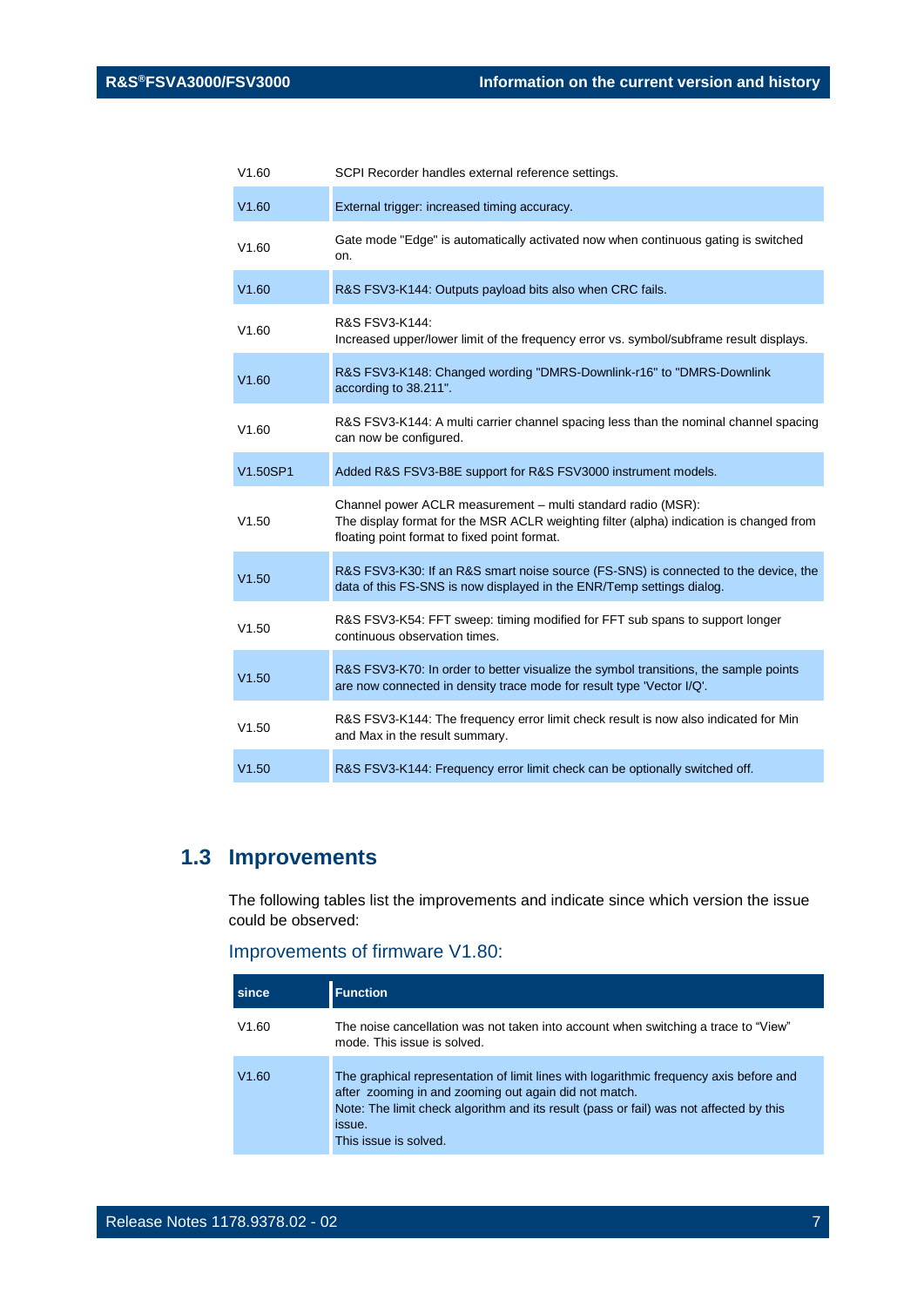| V1.60    | SCPI Recorder handles external reference settings.                                                                                                                                                      |
|----------|---------------------------------------------------------------------------------------------------------------------------------------------------------------------------------------------------------|
| V1.60    | External trigger: increased timing accuracy.                                                                                                                                                            |
| V1.60    | Gate mode "Edge" is automatically activated now when continuous gating is switched<br>on.                                                                                                               |
| V1.60    | R&S FSV3-K144: Outputs payload bits also when CRC fails.                                                                                                                                                |
| V1.60    | R&S FSV3-K144:<br>Increased upper/lower limit of the frequency error vs. symbol/subframe result displays.                                                                                               |
| V1.60    | R&S FSV3-K148: Changed wording "DMRS-Downlink-r16" to "DMRS-Downlink<br>according to 38.211".                                                                                                           |
| V1.60    | R&S FSV3-K144: A multi carrier channel spacing less than the nominal channel spacing<br>can now be configured.                                                                                          |
| V1.50SP1 | Added R&S FSV3-B8E support for R&S FSV3000 instrument models.                                                                                                                                           |
| V1.50    | Channel power ACLR measurement - multi standard radio (MSR):<br>The display format for the MSR ACLR weighting filter (alpha) indication is changed from<br>floating point format to fixed point format. |
| V1.50    | R&S FSV3-K30: If an R&S smart noise source (FS-SNS) is connected to the device, the<br>data of this FS-SNS is now displayed in the ENR/Temp settings dialog.                                            |
| V1.50    | R&S FSV3-K54: FFT sweep: timing modified for FFT sub spans to support longer<br>continuous observation times.                                                                                           |
| V1.50    | R&S FSV3-K70: In order to better visualize the symbol transitions, the sample points<br>are now connected in density trace mode for result type 'Vector I/Q'.                                           |
| V1.50    | R&S FSV3-K144: The frequency error limit check result is now also indicated for Min<br>and Max in the result summary.                                                                                   |
| V1.50    | R&S FSV3-K144: Frequency error limit check can be optionally switched off.                                                                                                                              |

## <span id="page-6-0"></span>**1.3 Improvements**

The following tables list the improvements and indicate since which version the issue could be observed:

#### Improvements of firmware V1.80:

| since | <b>Function</b>                                                                                                                                                                                                                                                              |
|-------|------------------------------------------------------------------------------------------------------------------------------------------------------------------------------------------------------------------------------------------------------------------------------|
| V1.60 | The noise cancellation was not taken into account when switching a trace to "View"<br>mode. This issue is solved.                                                                                                                                                            |
| V1.60 | The graphical representation of limit lines with logarithmic frequency axis before and<br>after zooming in and zooming out again did not match.<br>Note: The limit check algorithm and its result (pass or fail) was not affected by this<br>issue.<br>This issue is solved. |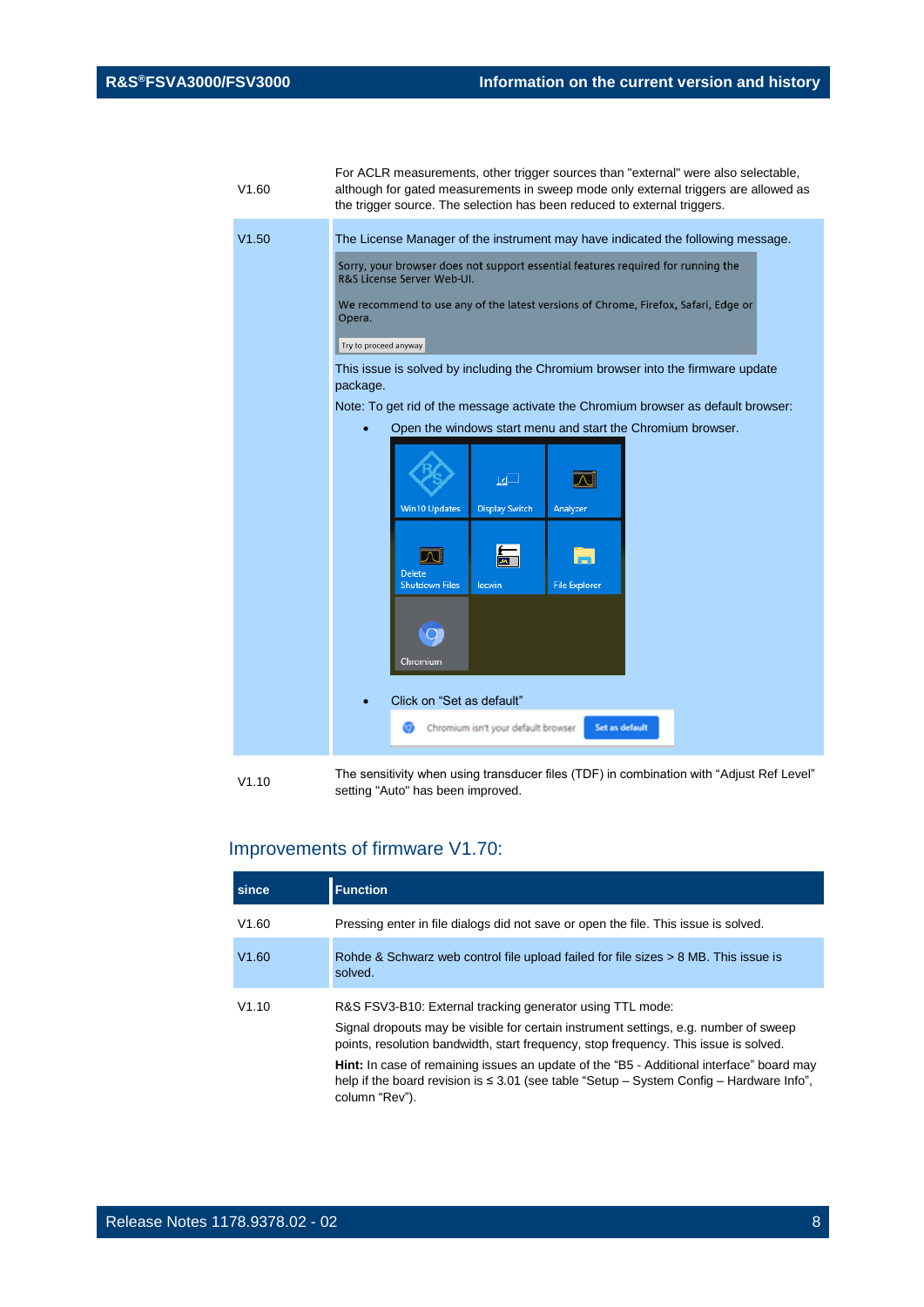| V1.60 | For ACLR measurements, other trigger sources than "external" were also selectable,<br>although for gated measurements in sweep mode only external triggers are allowed as<br>the trigger source. The selection has been reduced to external triggers. |
|-------|-------------------------------------------------------------------------------------------------------------------------------------------------------------------------------------------------------------------------------------------------------|
| V1.50 | The License Manager of the instrument may have indicated the following message.<br>Sorry, your browser does not support essential features required for running the                                                                                   |
|       | R&S License Server Web-UI.<br>We recommend to use any of the latest versions of Chrome, Firefox, Safari, Edge or<br>Opera.<br>Try to proceed anyway                                                                                                   |
|       | This issue is solved by including the Chromium browser into the firmware update<br>package.                                                                                                                                                           |
|       | Note: To get rid of the message activate the Chromium browser as default browser:<br>Open the windows start menu and start the Chromium browser.                                                                                                      |
|       | ⊡⊵<br>Л                                                                                                                                                                                                                                               |
|       | <b>Win10 Updates</b><br><b>Display Switch</b><br>Analyzer                                                                                                                                                                                             |
|       | <b>Delete</b><br><b>Shutdown Files</b><br><b>File Explorer</b><br>lecwin                                                                                                                                                                              |
|       | Chromium                                                                                                                                                                                                                                              |
|       | Click on "Set as default"<br>Set as default<br>Chromium isn't your default browser                                                                                                                                                                    |
|       |                                                                                                                                                                                                                                                       |

V1.10 The sensitivity when using transducer files (TDF) in combination with "Adjust Ref Level" setting "Auto" has been improved.

## Improvements of firmware V1.70:

| since | <b>Function</b>                                                                                                                                                                                                                           |
|-------|-------------------------------------------------------------------------------------------------------------------------------------------------------------------------------------------------------------------------------------------|
| V1.60 | Pressing enter in file dialogs did not save or open the file. This issue is solved.                                                                                                                                                       |
| V1.60 | Rohde & Schwarz web control file upload failed for file sizes > 8 MB. This issue is<br>solved.                                                                                                                                            |
| V1.10 | R&S FSV3-B10: External tracking generator using TTL mode:<br>Signal dropouts may be visible for certain instrument settings, e.g. number of sweep<br>points, resolution bandwidth, start frequency, stop frequency. This issue is solved. |
|       | <b>Hint:</b> In case of remaining issues an update of the "B5 - Additional interface" board may<br>help if the board revision is $\leq 3.01$ (see table "Setup – System Config – Hardware Info",<br>column "Rev").                        |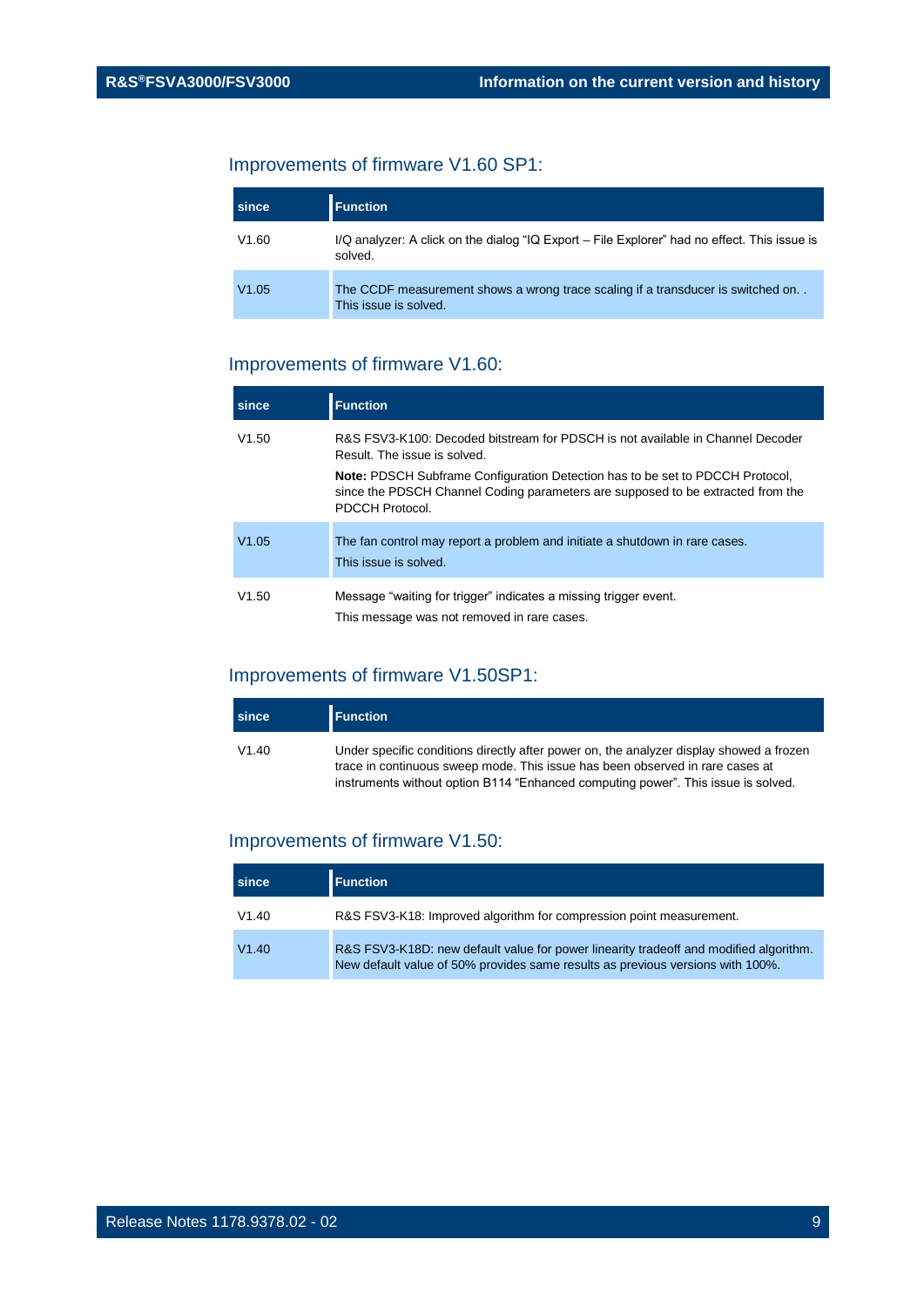## Improvements of firmware V1.60 SP1:

| since | <b>Function</b>                                                                                          |
|-------|----------------------------------------------------------------------------------------------------------|
| V1.60 | I/Q analyzer: A click on the dialog "IQ Export – File Explorer" had no effect. This issue is<br>solved.  |
| V1.05 | The CCDF measurement shows a wrong trace scaling if a transducer is switched on<br>This issue is solved. |

#### Improvements of firmware V1.60:

| since | <b>Function</b>                                                                                                                                                                            |
|-------|--------------------------------------------------------------------------------------------------------------------------------------------------------------------------------------------|
| V1.50 | R&S ESV3-K100: Decoded bitstream for PDSCH is not available in Channel Decoder<br>Result. The issue is solved.                                                                             |
|       | <b>Note:</b> PDSCH Subframe Configuration Detection has to be set to PDCCH Protocol,<br>since the PDSCH Channel Coding parameters are supposed to be extracted from the<br>PDCCH Protocol. |
| V1.05 | The fan control may report a problem and initiate a shutdown in rare cases.<br>This issue is solved.                                                                                       |
| V1.50 | Message "waiting for trigger" indicates a missing trigger event.<br>This message was not removed in rare cases.                                                                            |

#### Improvements of firmware V1.50SP1:

| since | <b>Function</b>                                                                                                                                                                                                                                               |
|-------|---------------------------------------------------------------------------------------------------------------------------------------------------------------------------------------------------------------------------------------------------------------|
| V1.40 | Under specific conditions directly after power on, the analyzer display showed a frozen<br>trace in continuous sweep mode. This issue has been observed in rare cases at<br>instruments without option B114 "Enhanced computing power". This issue is solved. |

#### Improvements of firmware V1.50:

| since | <b>Function</b>                                                                                                                                                         |
|-------|-------------------------------------------------------------------------------------------------------------------------------------------------------------------------|
| V1.40 | R&S FSV3-K18: Improved algorithm for compression point measurement.                                                                                                     |
| V1.40 | R&S FSV3-K18D: new default value for power linearity tradeoff and modified algorithm.<br>New default value of 50% provides same results as previous versions with 100%. |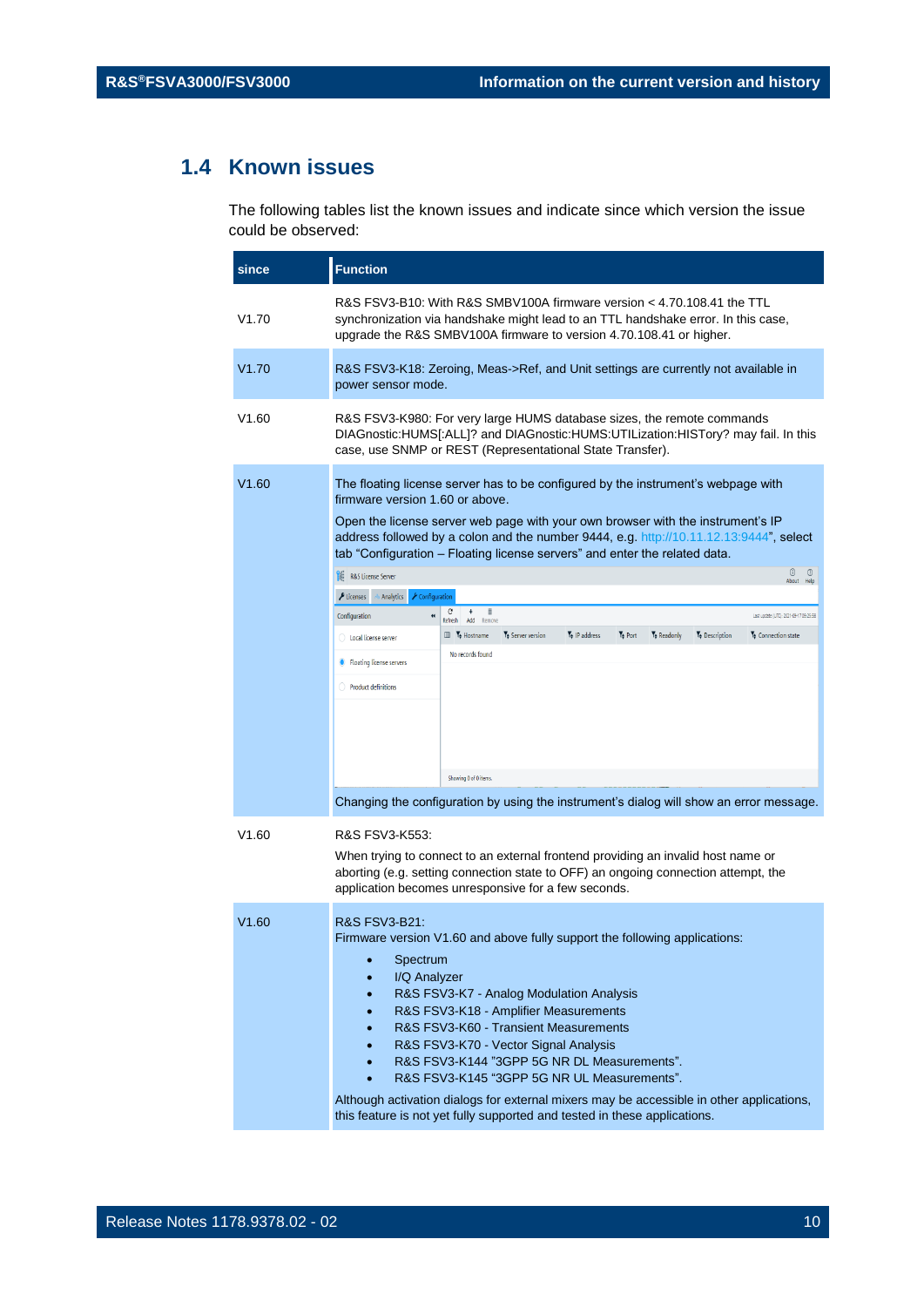## <span id="page-9-0"></span>**1.4 Known issues**

The following tables list the known issues and indicate since which version the issue could be observed:

| since | <b>Function</b>                                                                                                                                                                                                                                                                                                                                                                                                                                                                                                                                                                                                                                                                                                                                                                                                                                                                                                                                                               |  |  |
|-------|-------------------------------------------------------------------------------------------------------------------------------------------------------------------------------------------------------------------------------------------------------------------------------------------------------------------------------------------------------------------------------------------------------------------------------------------------------------------------------------------------------------------------------------------------------------------------------------------------------------------------------------------------------------------------------------------------------------------------------------------------------------------------------------------------------------------------------------------------------------------------------------------------------------------------------------------------------------------------------|--|--|
| V1.70 | R&S FSV3-B10: With R&S SMBV100A firmware version < 4.70.108.41 the TTL<br>synchronization via handshake might lead to an TTL handshake error. In this case,<br>upgrade the R&S SMBV100A firmware to version 4.70.108.41 or higher.                                                                                                                                                                                                                                                                                                                                                                                                                                                                                                                                                                                                                                                                                                                                            |  |  |
| V1.70 | R&S FSV3-K18: Zeroing, Meas->Ref, and Unit settings are currently not available in<br>power sensor mode.                                                                                                                                                                                                                                                                                                                                                                                                                                                                                                                                                                                                                                                                                                                                                                                                                                                                      |  |  |
| V1.60 | R&S FSV3-K980: For very large HUMS database sizes, the remote commands<br>DIAGnostic:HUMS[:ALL]? and DIAGnostic:HUMS:UTILization:HISTory? may fail. In this<br>case, use SNMP or REST (Representational State Transfer).                                                                                                                                                                                                                                                                                                                                                                                                                                                                                                                                                                                                                                                                                                                                                      |  |  |
| V1.60 | The floating license server has to be configured by the instrument's webpage with<br>firmware version 1.60 or above.<br>Open the license server web page with your own browser with the instrument's IP<br>address followed by a colon and the number 9444, e.g. http://10.11.12.13:9444", select<br>tab "Configuration - Floating license servers" and enter the related data.<br>0<br>$^{\circ}$<br><b>R&amp;S License Server</b><br>About Help<br>$\blacktriangleright$ Configuration<br><i>P</i> Licenses<br>Analytics<br>C<br>$\ddot{}$<br>î<br>Configuration<br>Last update (UTC): 2021-09-17 09:25:58<br>$\ddot{\phantom{1}}$<br>Refresh<br>Add Remove<br>Te IP address<br>$T_{\frac{1}{2}}$ Port<br>Te Readonly<br><b>III</b> T <sub>#</sub> Hostname<br>Te Server version<br>T <sub>+</sub> Description<br>Te Connection state<br>Local license server<br>No records found<br><b>Floating license servers</b><br><b>Product definitions</b><br>Showing 0 of 0 items. |  |  |
| V1.60 | Changing the configuration by using the instrument's dialog will show an error message.<br>R&S FSV3-K553:<br>When trying to connect to an external frontend providing an invalid host name or<br>aborting (e.g. setting connection state to OFF) an ongoing connection attempt, the<br>application becomes unresponsive for a few seconds.                                                                                                                                                                                                                                                                                                                                                                                                                                                                                                                                                                                                                                    |  |  |
| V1.60 | <b>R&amp;S FSV3-B21:</b><br>Firmware version V1.60 and above fully support the following applications:<br>Spectrum<br>$\bullet$<br>I/Q Analyzer<br>R&S FSV3-K7 - Analog Modulation Analysis<br>R&S FSV3-K18 - Amplifier Measurements<br>R&S FSV3-K60 - Transient Measurements<br>R&S FSV3-K70 - Vector Signal Analysis<br>R&S FSV3-K144 "3GPP 5G NR DL Measurements".<br>R&S FSV3-K145 "3GPP 5G NR UL Measurements".<br>Although activation dialogs for external mixers may be accessible in other applications,<br>this feature is not yet fully supported and tested in these applications.                                                                                                                                                                                                                                                                                                                                                                                 |  |  |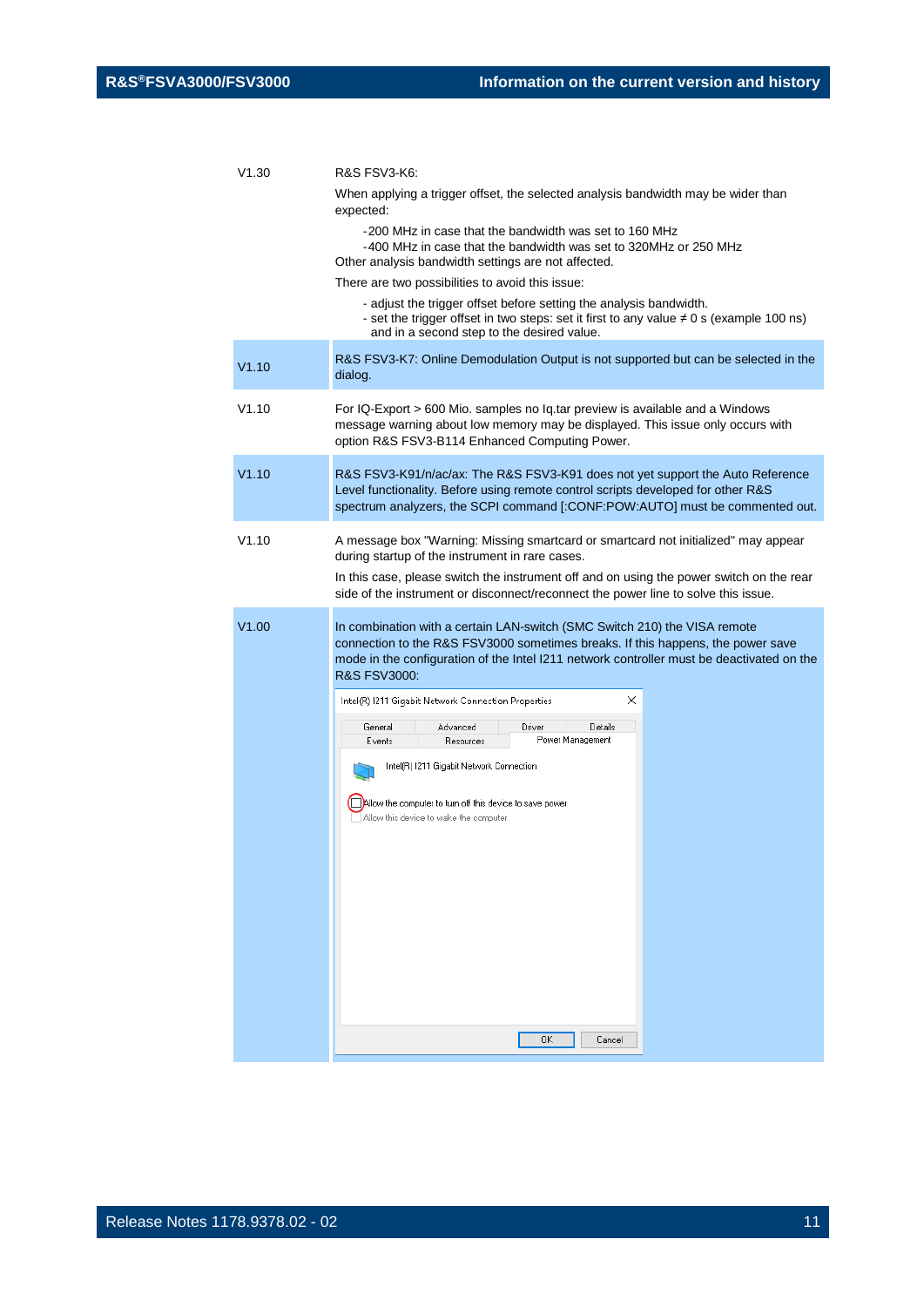| V1.30 | R&S FSV3-K6:                                                                                                                                                                                                                                                                         |  |
|-------|--------------------------------------------------------------------------------------------------------------------------------------------------------------------------------------------------------------------------------------------------------------------------------------|--|
|       | When applying a trigger offset, the selected analysis bandwidth may be wider than<br>expected:                                                                                                                                                                                       |  |
|       | -200 MHz in case that the bandwidth was set to 160 MHz<br>-400 MHz in case that the bandwidth was set to 320MHz or 250 MHz<br>Other analysis bandwidth settings are not affected.                                                                                                    |  |
|       | There are two possibilities to avoid this issue:                                                                                                                                                                                                                                     |  |
|       | - adjust the trigger offset before setting the analysis bandwidth.<br>- set the trigger offset in two steps: set it first to any value $\neq 0$ s (example 100 ns)<br>and in a second step to the desired value.                                                                     |  |
| V1.10 | R&S FSV3-K7: Online Demodulation Output is not supported but can be selected in the<br>dialog.                                                                                                                                                                                       |  |
| V1.10 | For IQ-Export > 600 Mio. samples no Iq.tar preview is available and a Windows<br>message warning about low memory may be displayed. This issue only occurs with<br>option R&S FSV3-B114 Enhanced Computing Power.                                                                    |  |
| V1.10 | R&S FSV3-K91/n/ac/ax: The R&S FSV3-K91 does not yet support the Auto Reference<br>Level functionality. Before using remote control scripts developed for other R&S<br>spectrum analyzers, the SCPI command [:CONF:POW:AUTO] must be commented out.                                   |  |
| V1.10 | A message box "Warning: Missing smartcard or smartcard not initialized" may appear<br>during startup of the instrument in rare cases.<br>In this case, please switch the instrument off and on using the power switch on the rear                                                    |  |
|       | side of the instrument or disconnect/reconnect the power line to solve this issue.                                                                                                                                                                                                   |  |
| V1.00 | In combination with a certain LAN-switch (SMC Switch 210) the VISA remote<br>connection to the R&S FSV3000 sometimes breaks. If this happens, the power save<br>mode in the configuration of the Intel I211 network controller must be deactivated on the<br><b>R&amp;S FSV3000:</b> |  |
|       | ×<br>Intel(R) 1211 Gigabit Network Connection Properties                                                                                                                                                                                                                             |  |
|       | Advanced<br>Driver<br>Details<br>General<br>Power Management<br>Events<br>Resources                                                                                                                                                                                                  |  |
|       | Intel(R) 1211 Gigabit Network Connection                                                                                                                                                                                                                                             |  |
|       | ∐Allow the computer to turn off this device to save power<br>Allow this device to wake the computer                                                                                                                                                                                  |  |
|       |                                                                                                                                                                                                                                                                                      |  |
|       |                                                                                                                                                                                                                                                                                      |  |
|       |                                                                                                                                                                                                                                                                                      |  |
|       | OΚ<br>Cancel                                                                                                                                                                                                                                                                         |  |
|       |                                                                                                                                                                                                                                                                                      |  |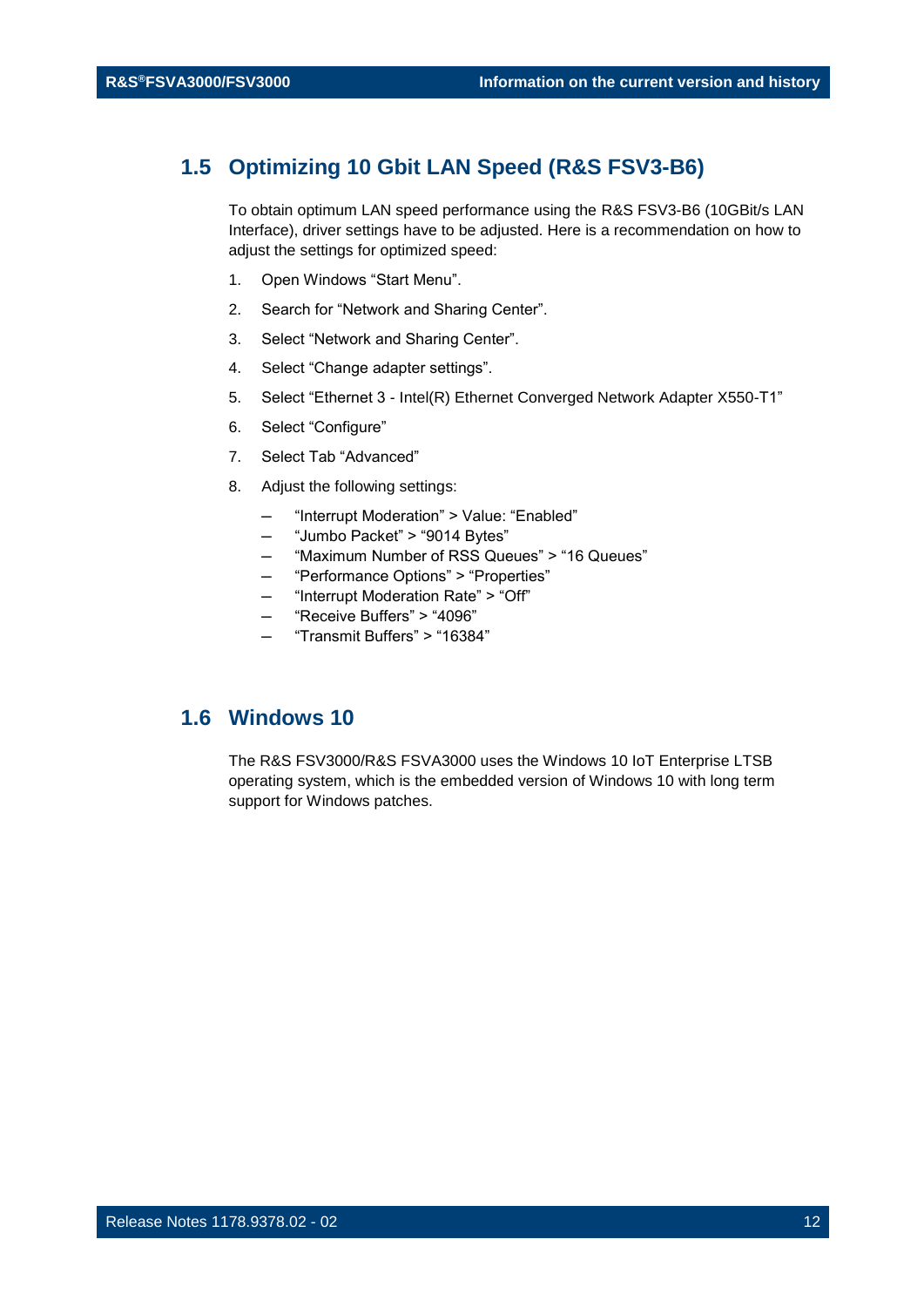#### <span id="page-11-0"></span>**1.5 Optimizing 10 Gbit LAN Speed (R&S FSV3-B6)**

To obtain optimum LAN speed performance using the R&S FSV3-B6 (10GBit/s LAN Interface), driver settings have to be adjusted. Here is a recommendation on how to adjust the settings for optimized speed:

- 1. Open Windows "Start Menu".
- 2. Search for "Network and Sharing Center".
- 3. Select "Network and Sharing Center".
- 4. Select "Change adapter settings".
- 5. Select "Ethernet 3 Intel(R) Ethernet Converged Network Adapter X550-T1"
- 6. Select "Configure"
- 7. Select Tab "Advanced"
- 8. Adjust the following settings:
	- ─ "Interrupt Moderation" > Value: "Enabled"
	- ─ "Jumbo Packet" > "9014 Bytes"
	- ─ "Maximum Number of RSS Queues" > "16 Queues"
	- ─ "Performance Options" > "Properties"
	- ─ "Interrupt Moderation Rate" > "Off"
	- ─ "Receive Buffers" > "4096"
	- ─ "Transmit Buffers" > "16384"

## <span id="page-11-1"></span>**1.6 Windows 10**

The R&S FSV3000/R&S FSVA3000 uses the Windows 10 IoT Enterprise LTSB operating system, which is the embedded version of Windows 10 with long term support for Windows patches.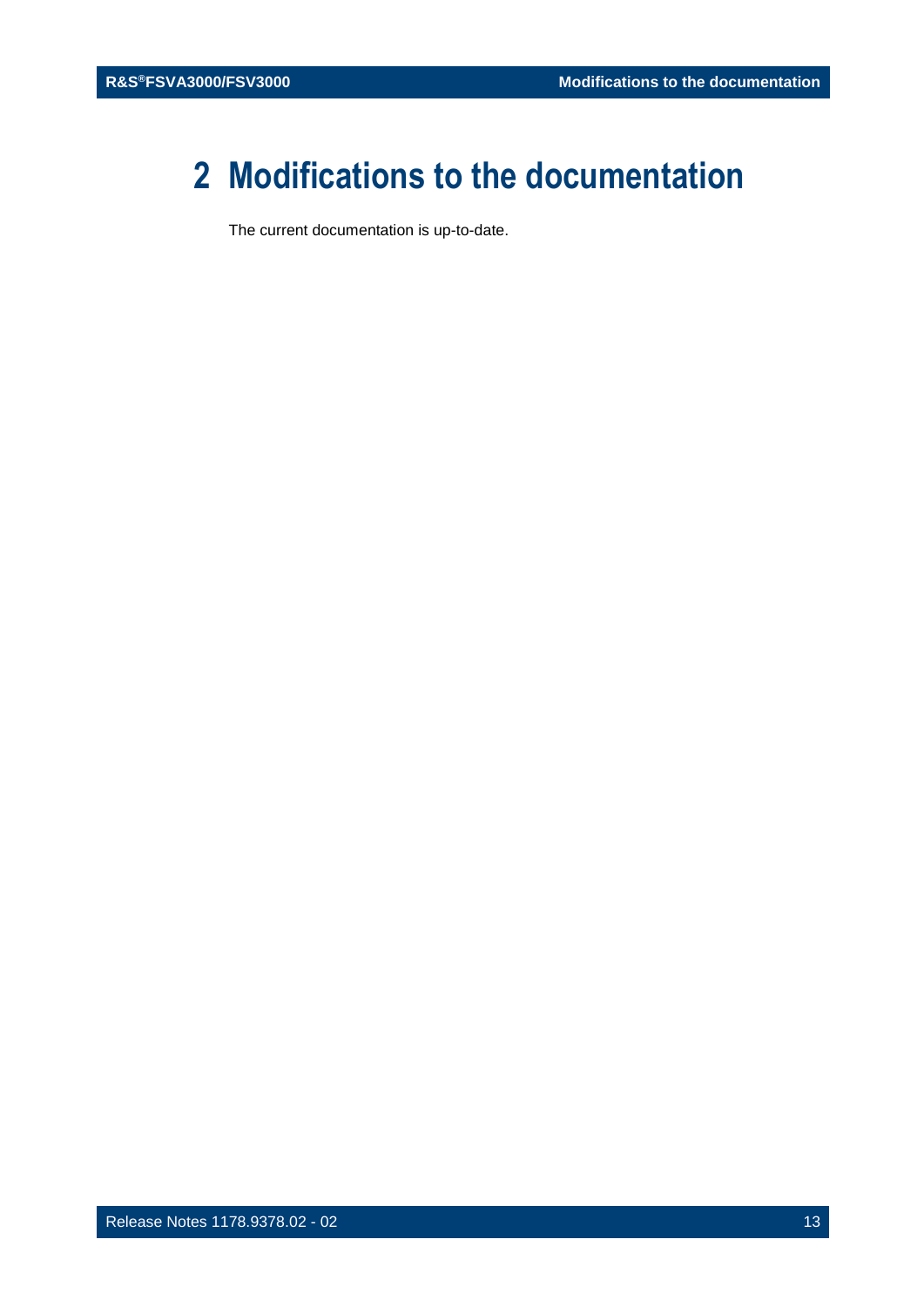## <span id="page-12-0"></span>**2 Modifications to the documentation**

The current documentation is up-to-date.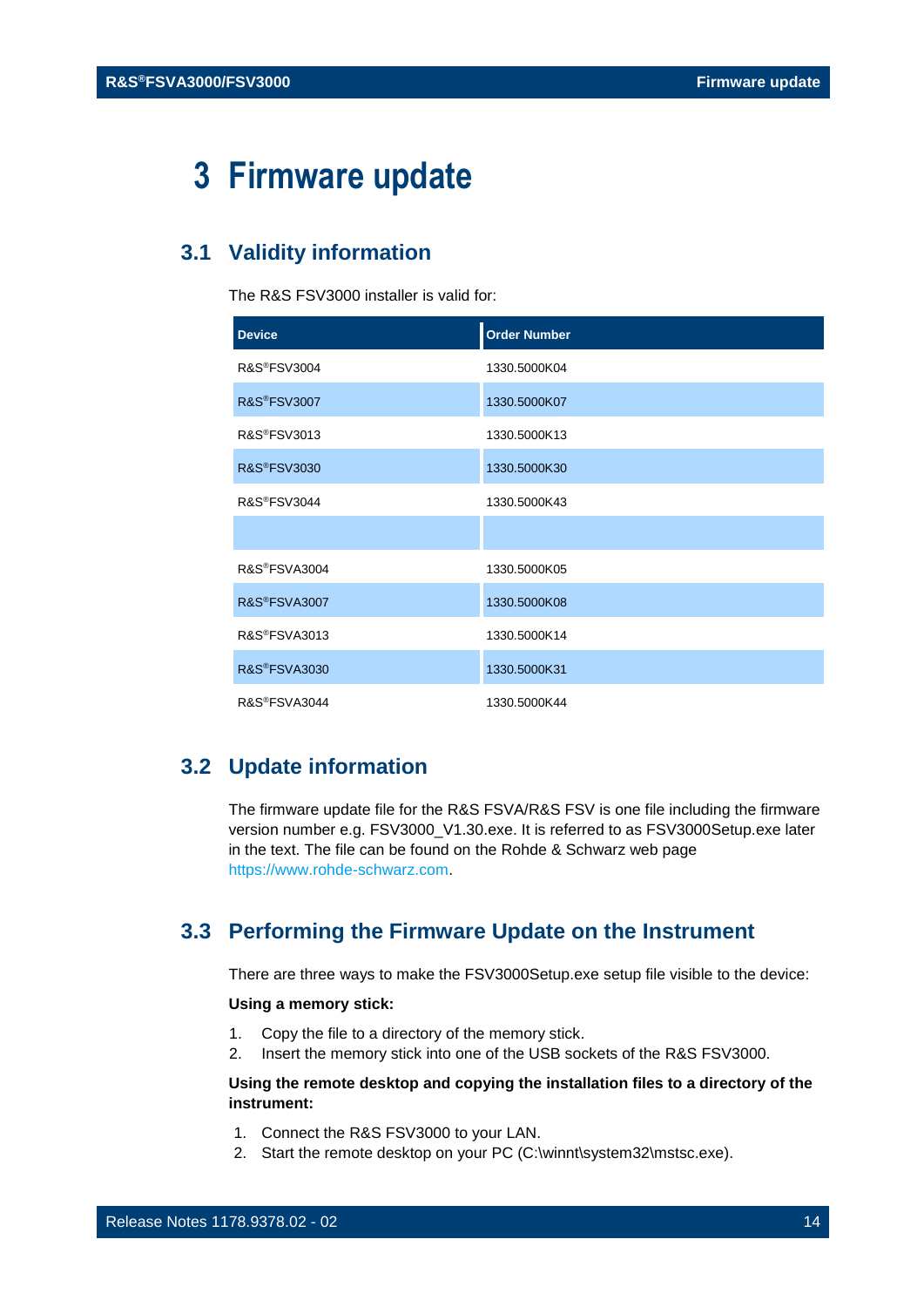## <span id="page-13-0"></span>**3 Firmware update**

## <span id="page-13-1"></span>**3.1 Validity information**

The R&S FSV3000 installer is valid for:

| <b>Device</b>           | <b>Order Number</b> |
|-------------------------|---------------------|
| <b>R&amp;S®FSV3004</b>  | 1330.5000K04        |
| <b>R&amp;S®FSV3007</b>  | 1330.5000K07        |
| R&S®FSV3013             | 1330.5000K13        |
| <b>R&amp;S®FSV3030</b>  | 1330.5000K30        |
| R&S®FSV3044             | 1330.5000K43        |
|                         |                     |
| R&S®FSVA3004            | 1330.5000K05        |
| R&S®FSVA3007            | 1330.5000K08        |
| R&S®FSVA3013            | 1330.5000K14        |
| <b>R&amp;S®FSVA3030</b> | 1330.5000K31        |
| R&S®FSVA3044            | 1330.5000K44        |

## <span id="page-13-2"></span>**3.2 Update information**

The firmware update file for the R&S FSVA/R&S FSV is one file including the firmware version number e.g. FSV3000\_V1.30.exe. It is referred to as FSV3000Setup.exe later in the text. The file can be found on the Rohde & Schwarz web page [https://www.rohde-schwarz.com.](https://www.rohde-schwarz.com/)

### <span id="page-13-3"></span>**3.3 Performing the Firmware Update on the Instrument**

There are three ways to make the FSV3000Setup.exe setup file visible to the device:

#### **Using a memory stick:**

- 1. Copy the file to a directory of the memory stick.
- 2. Insert the memory stick into one of the USB sockets of the R&S FSV3000.

#### **Using the remote desktop and copying the installation files to a directory of the instrument:**

- 1. Connect the R&S FSV3000 to your LAN.
- 2. Start the remote desktop on your PC (C:\winnt\system32\mstsc.exe).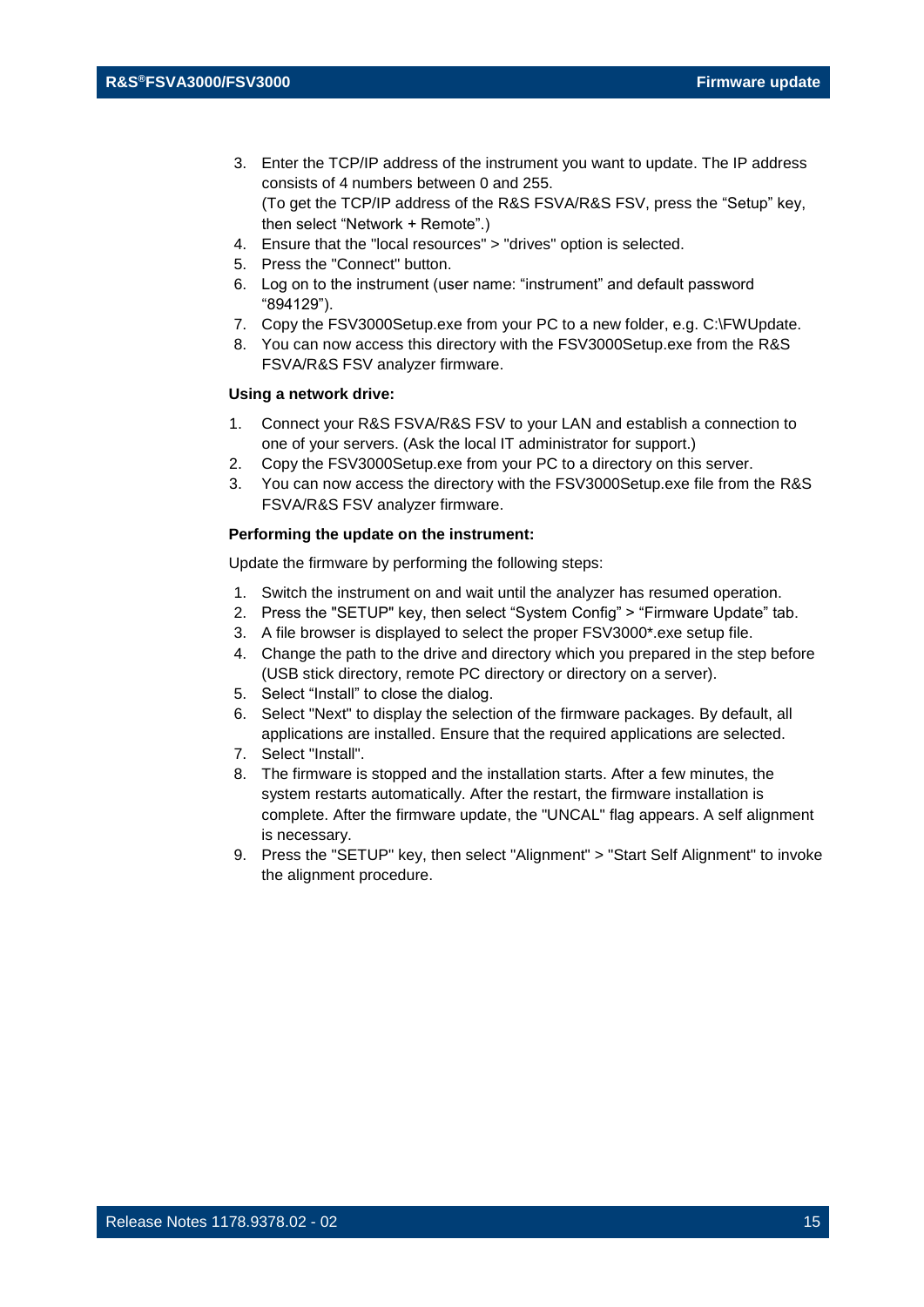- 3. Enter the TCP/IP address of the instrument you want to update. The IP address consists of 4 numbers between 0 and 255. (To get the TCP/IP address of the R&S FSVA/R&S FSV, press the "Setup" key, then select "Network + Remote".)
- 4. Ensure that the "local resources" > "drives" option is selected.
- 5. Press the "Connect" button.
- 6. Log on to the instrument (user name: "instrument" and default password "894129").
- 7. Copy the FSV3000Setup.exe from your PC to a new folder, e.g. C:\FWUpdate.
- 8. You can now access this directory with the FSV3000Setup.exe from the R&S FSVA/R&S FSV analyzer firmware.

#### **Using a network drive:**

- 1. Connect your R&S FSVA/R&S FSV to your LAN and establish a connection to one of your servers. (Ask the local IT administrator for support.)
- 2. Copy the FSV3000Setup.exe from your PC to a directory on this server.
- 3. You can now access the directory with the FSV3000Setup.exe file from the R&S FSVA/R&S FSV analyzer firmware.

#### **Performing the update on the instrument:**

Update the firmware by performing the following steps:

- 1. Switch the instrument on and wait until the analyzer has resumed operation.
- 2. Press the "SETUP" key, then select "System Config" > "Firmware Update" tab.
- 3. A file browser is displayed to select the proper FSV3000\*.exe setup file.
- 4. Change the path to the drive and directory which you prepared in the step before (USB stick directory, remote PC directory or directory on a server).
- 5. Select "Install" to close the dialog.
- 6. Select "Next" to display the selection of the firmware packages. By default, all applications are installed. Ensure that the required applications are selected.
- 7. Select "Install".
- 8. The firmware is stopped and the installation starts. After a few minutes, the system restarts automatically. After the restart, the firmware installation is complete. After the firmware update, the "UNCAL" flag appears. A self alignment is necessary.
- 9. Press the "SETUP" key, then select "Alignment" > "Start Self Alignment" to invoke the alignment procedure.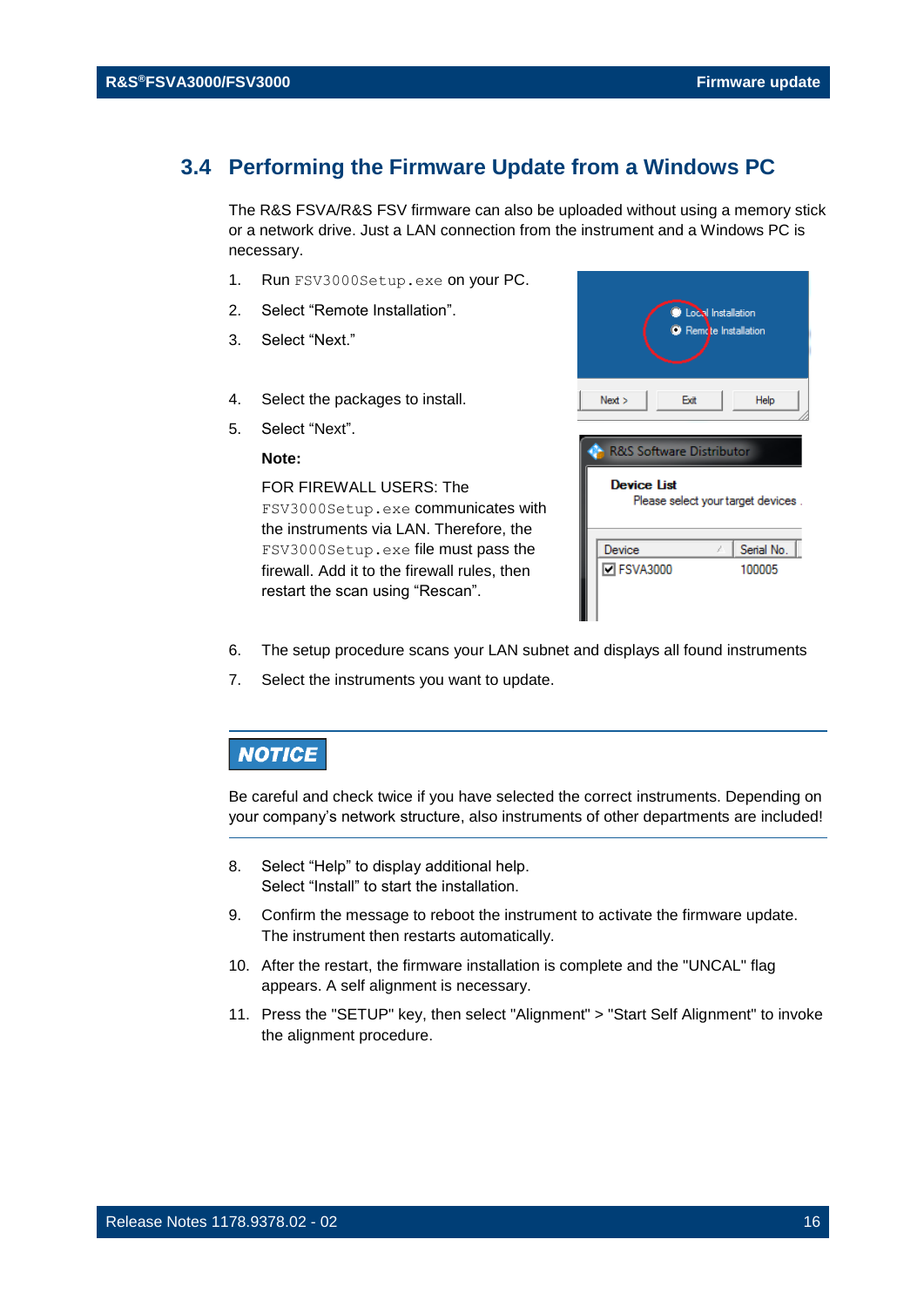#### <span id="page-15-0"></span>**3.4 Performing the Firmware Update from a Windows PC**

The R&S FSVA/R&S FSV firmware can also be uploaded without using a memory stick or a network drive. Just a LAN connection from the instrument and a Windows PC is necessary.

- 1. Run FSV3000Setup.exe on your PC.
- 2. Select "Remote Installation".
- 3. Select "Next."
- 4. Select the packages to install.
- 5. Select "Next".

#### **Note:**

FOR FIREWALL USERS: The FSV3000Setup.exe communicates with the instruments via LAN. Therefore, the FSV3000Setup.exe file must pass the firewall. Add it to the firewall rules, then restart the scan using "Rescan".



- 6. The setup procedure scans your LAN subnet and displays all found instruments
- 7. Select the instruments you want to update.

#### **NOTICE**

Be careful and check twice if you have selected the correct instruments. Depending on your company's network structure, also instruments of other departments are included!

- 8. Select "Help" to display additional help. Select "Install" to start the installation.
- 9. Confirm the message to reboot the instrument to activate the firmware update. The instrument then restarts automatically.
- 10. After the restart, the firmware installation is complete and the "UNCAL" flag appears. A self alignment is necessary.
- 11. Press the "SETUP" key, then select "Alignment" > "Start Self Alignment" to invoke the alignment procedure.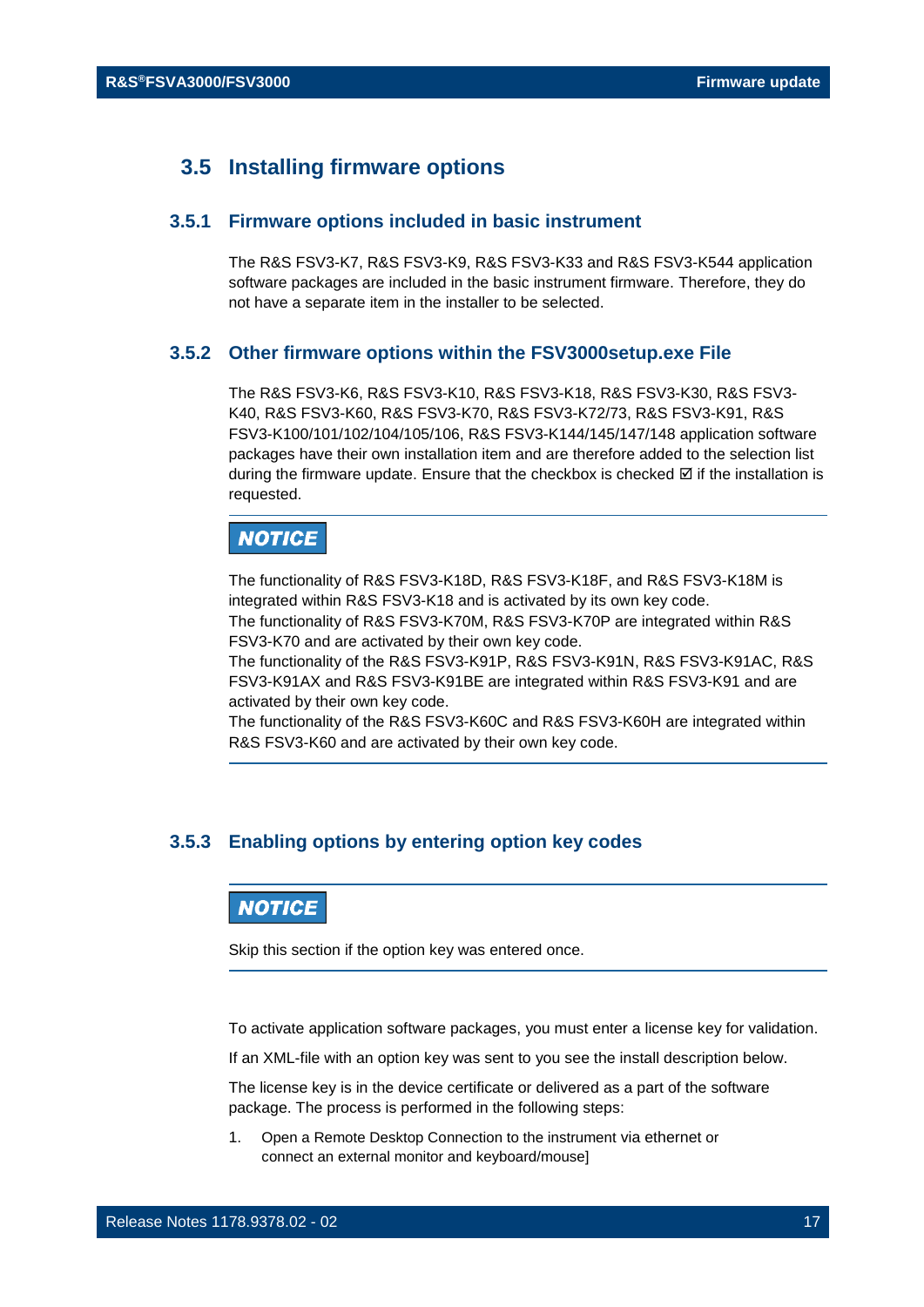### <span id="page-16-0"></span>**3.5 Installing firmware options**

#### **3.5.1 Firmware options included in basic instrument**

<span id="page-16-1"></span>The R&S FSV3-K7, R&S FSV3-K9, R&S FSV3-K33 and R&S FSV3-K544 application software packages are included in the basic instrument firmware. Therefore, they do not have a separate item in the installer to be selected.

#### <span id="page-16-2"></span>**3.5.2 Other firmware options within the FSV3000setup.exe File**

The R&S FSV3-K6, R&S FSV3-K10, R&S FSV3-K18, R&S FSV3-K30, R&S FSV3- K40, R&S FSV3-K60, R&S FSV3-K70, R&S FSV3-K72/73, R&S FSV3-K91, R&S FSV3-K100/101/102/104/105/106, R&S FSV3-K144/145/147/148 application software packages have their own installation item and are therefore added to the selection list during the firmware update. Ensure that the checkbox is checked  $\boxtimes$  if the installation is requested.

## **NOTICE**

The functionality of R&S FSV3-K18D, R&S FSV3-K18F, and R&S FSV3-K18M is integrated within R&S FSV3-K18 and is activated by its own key code. The functionality of R&S FSV3-K70M, R&S FSV3-K70P are integrated within R&S

FSV3-K70 and are activated by their own key code.

The functionality of the R&S FSV3-K91P, R&S FSV3-K91N, R&S FSV3-K91AC, R&S FSV3-K91AX and R&S FSV3-K91BE are integrated within R&S FSV3-K91 and are activated by their own key code.

The functionality of the R&S FSV3-K60C and R&S FSV3-K60H are integrated within R&S FSV3-K60 and are activated by their own key code.

#### <span id="page-16-3"></span>**3.5.3 Enabling options by entering option key codes**

#### **NOTICE**

Skip this section if the option key was entered once.

To activate application software packages, you must enter a license key for validation.

If an XML-file with an option key was sent to you see the install description below.

The license key is in the device certificate or delivered as a part of the software package. The process is performed in the following steps:

1. Open a Remote Desktop Connection to the instrument via ethernet or connect an external monitor and keyboard/mouse]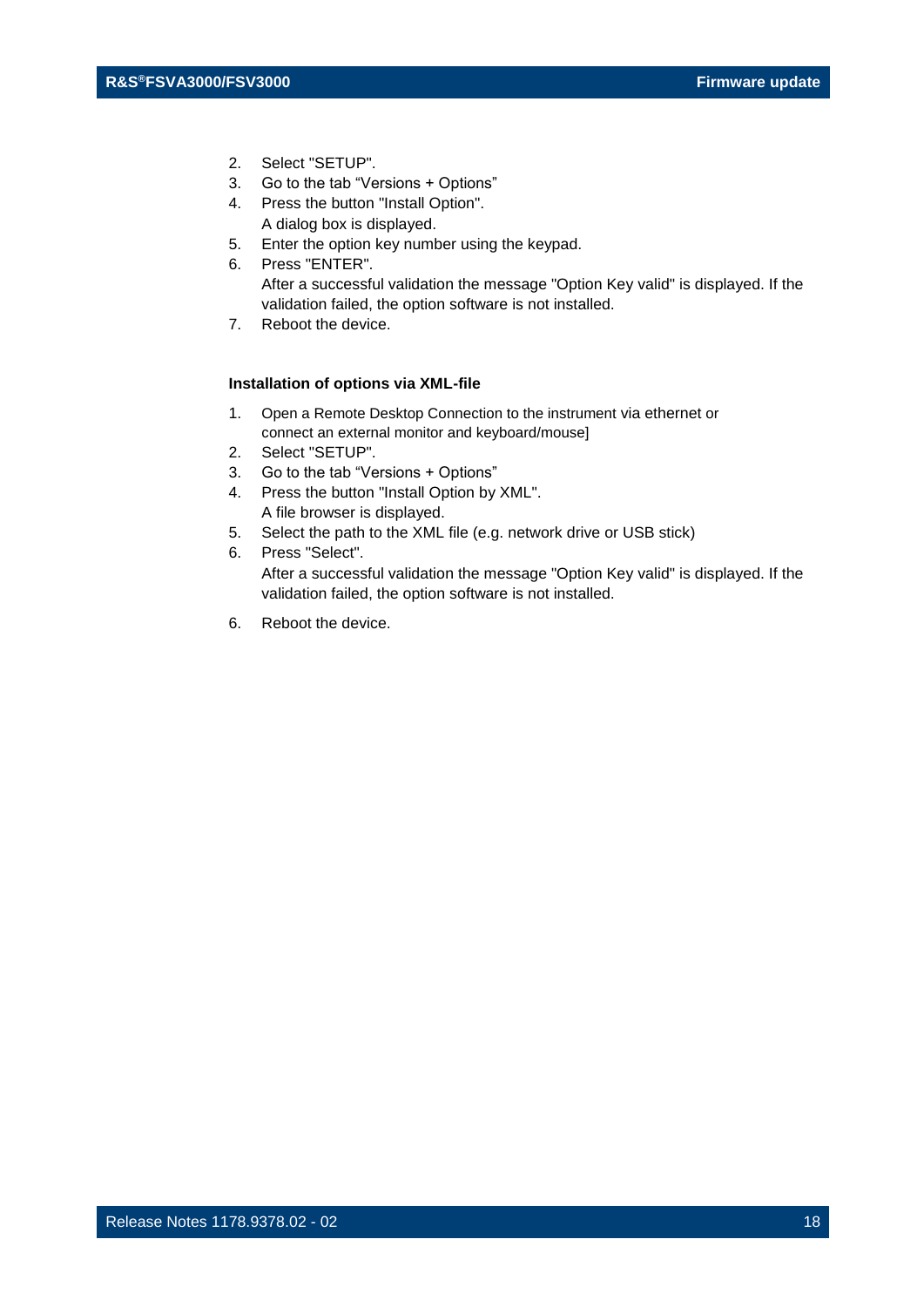- 2. Select "SETUP".
- 3. Go to the tab "Versions + Options"
- 4. Press the button "Install Option". A dialog box is displayed.
- 5. Enter the option key number using the keypad.
- 6. Press "ENTER". After a successful validation the message "Option Key valid" is displayed. If the validation failed, the option software is not installed.
- 7. Reboot the device.

#### **Installation of options via XML-file**

- 1. Open a Remote Desktop Connection to the instrument via ethernet or connect an external monitor and keyboard/mouse]
- 2. Select "SETUP".
- 3. Go to the tab "Versions + Options"
- 4. Press the button "Install Option by XML". A file browser is displayed.
- 5. Select the path to the XML file (e.g. network drive or USB stick)
- 6. Press "Select".

After a successful validation the message "Option Key valid" is displayed. If the validation failed, the option software is not installed.

6. Reboot the device.